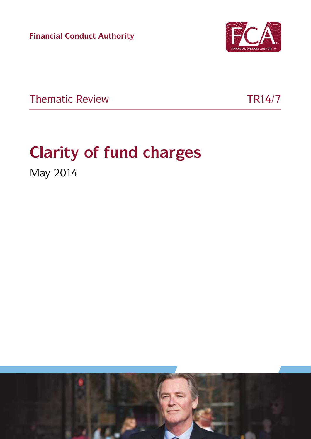**Financial Conduct Authority**



Thematic Review TR14/7

# **Clarity of fund charges**

May 2014

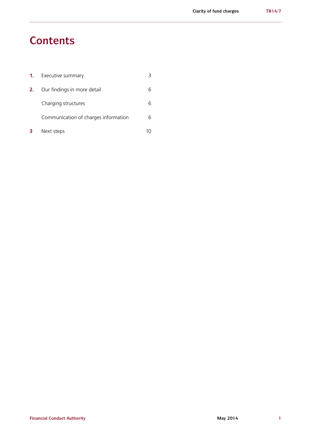### **Contents**

| -1. | Executive summary                    |  |
|-----|--------------------------------------|--|
| 2.  | Our findings in more detail          |  |
|     | Charging structures                  |  |
|     | Communication of charges information |  |
|     | Next steps                           |  |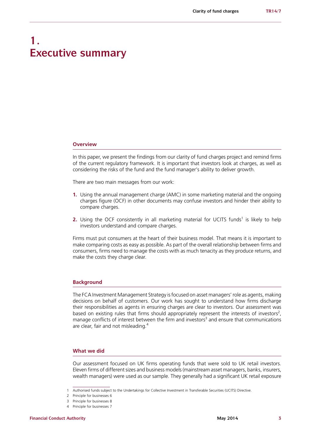### **1. Executive summary**

#### **Overview**

In this paper, we present the findings from our clarity of fund charges project and remind firms of the current regulatory framework. It is important that investors look at charges, as well as considering the risks of the fund and the fund manager's ability to deliver growth.

There are two main messages from our work:

- **1.** Using the annual management charge (AMC) in some marketing material and the ongoing charges figure (OCF) in other documents may confuse investors and hinder their ability to compare charges.
- **2.** Using the OCF consistently in all marketing material for UCITS funds<sup>1</sup> is likely to help investors understand and compare charges.

Firms must put consumers at the heart of their business model. That means it is important to make comparing costs as easy as possible. As part of the overall relationship between firms and consumers, firms need to manage the costs with as much tenacity as they produce returns, and make the costs they charge clear.

#### **Background**

The FCA Investment Management Strategy is focused on asset managers' role as agents, making decisions on behalf of customers. Our work has sought to understand how firms discharge their responsibilities as agents in ensuring charges are clear to investors. Our assessment was based on existing rules that firms should appropriately represent the interests of investors<sup>2</sup>, manage conflicts of interest between the firm and investors<sup>3</sup> and ensure that communications are clear, fair and not misleading.<sup>4</sup>

#### **What we did**

Our assessment focused on UK firms operating funds that were sold to UK retail investors. Eleven firms of different sizes and business models (mainstream asset managers, banks, insurers, wealth managers) were used as our sample. They generally had a significant UK retail exposure

<sup>1</sup> Authorised funds subject to the Undertakings for Collective Investment in Transferable Securities (UCITS) Directive.

<sup>2</sup> Principle for businesses 6

<sup>3</sup> Principle for businesses 8

<sup>4</sup> Principle for businesses 7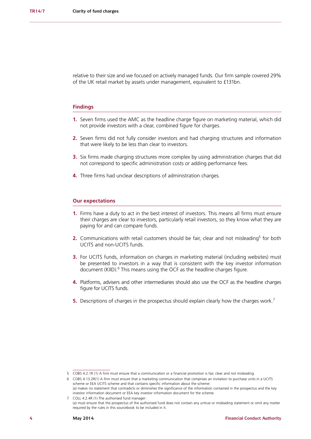relative to their size and we focused on actively managed funds. Our firm sample covered 29% of the UK retail market by assets under management, equivalent to £131bn.

#### **Findings**

- **1.** Seven firms used the AMC as the headline charge figure on marketing material, which did not provide investors with a clear, combined figure for charges.
- **2.** Seven firms did not fully consider investors and had charging structures and information that were likely to be less than clear to investors.
- **3.** Six firms made charging structures more complex by using administration charges that did not correspond to specific administration costs or adding performance fees.
- **4.** Three firms had unclear descriptions of administration charges.

#### **Our expectations**

- **1.** Firms have a duty to act in the best interest of investors. This means all firms must ensure their charges are clear to investors, particularly retail investors, so they know what they are paying for and can compare funds.
- **2.** Communications with retail customers should be fair, clear and not misleading<sup>5</sup> for both UCITS and non-UCITS funds.
- **3.** For UCITS funds, information on charges in marketing material (including websites) must be presented to investors in a way that is consistent with the key investor information document (KIID).<sup>6</sup> This means using the OCF as the headline charges figure.
- **4.** Platforms, advisers and other intermediaries should also use the OCF as the headline charges figure for UCITS funds.
- **5.** Descriptions of charges in the prospectus should explain clearly how the charges work.<sup>7</sup>

<sup>5</sup> COBS 4.2.1R (1) A [firm](http://fshandbook.info/FS/glossary-html/handbook/Glossary/F?definition=G430) must ensure that a communication or a [financial promotion](http://fshandbook.info/FS/glossary-html/handbook/Glossary/F?definition=G421) is fair, clear and not misleading.

<sup>6</sup> COBS 4.13.2R(1) A [firm](http://fshandbook.info/FS/glossary-html/handbook/Glossary/F?definition=G430) must ensure that a marketing communication that comprises an invitation to purchase [units](http://fshandbook.info/FS/glossary-html/handbook/Glossary/U?definition=G1230) in a [UCITS](http://fshandbook.info/FS/glossary-html/handbook/Glossary/U?definition=G1204)  [scheme](http://fshandbook.info/FS/glossary-html/handbook/Glossary/U?definition=G1204) or [EEA UCITS scheme](http://fshandbook.info/FS/glossary-html/handbook/Glossary/E?definition=G2868) and that contains specific information about the [scheme:](http://fshandbook.info/FS/glossary-html/handbook/Glossary/S?definition=G1043) (a) makes no statement that contradicts or diminishes the significance of the information contained in the [prospectus](http://fshandbook.info/FS/glossary-html/handbook/Glossary/P?definition=G924) and the [key](http://fshandbook.info/FS/glossary-html/handbook/Glossary/K?definition=G2872)  [investor information document](http://fshandbook.info/FS/glossary-html/handbook/Glossary/K?definition=G2872) or [EEA key investor information document](http://fshandbook.info/FS/glossary-html/handbook/Glossary/E?definition=G2867) for the scheme.

<sup>7</sup> COLL 4.2.4R (1) The authorised fund manager: (a) must ensure that the prospectus of the authorised fund does not contain any untrue or misleading statement or omit any matter required by the rules in this sourcebook to be included in it.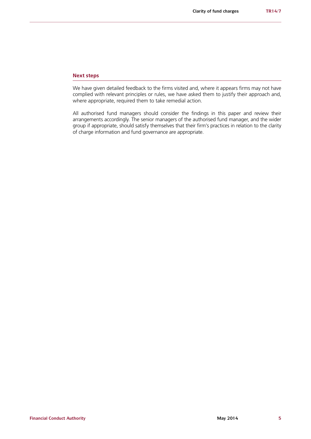#### **Next steps**

We have given detailed feedback to the firms visited and, where it appears firms may not have complied with relevant principles or rules, we have asked them to justify their approach and, where appropriate, required them to take remedial action.

All authorised fund managers should consider the findings in this paper and review their arrangements accordingly. The senior managers of the authorised fund manager, and the wider group if appropriate, should satisfy themselves that their firm's practices in relation to the clarity of charge information and fund governance are appropriate.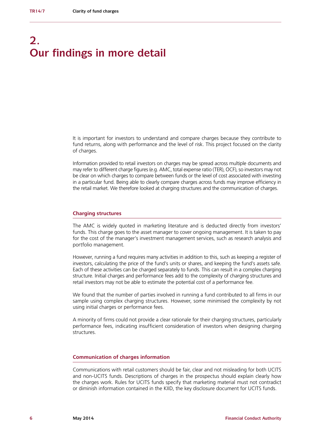## **2. Our findings in more detail**

It is important for investors to understand and compare charges because they contribute to fund returns, along with performance and the level of risk. This project focused on the clarity of charges.

Information provided to retail investors on charges may be spread across multiple documents and may refer to different charge figures (e.g. AMC, total expense ratio (TER), OCF), so investors may not be clear on which charges to compare between funds or the level of cost associated with investing in a particular fund. Being able to clearly compare charges across funds may improve efficiency in the retail market. We therefore looked at charging structures and the communication of charges.

#### **Charging structures**

The AMC is widely quoted in marketing literature and is deducted directly from investors' funds. This charge goes to the asset manager to cover ongoing management. It is taken to pay for the cost of the manager's investment management services, such as research analysis and portfolio management.

However, running a fund requires many activities in addition to this, such as keeping a register of investors, calculating the price of the fund's units or shares, and keeping the fund's assets safe. Each of these activities can be charged separately to funds. This can result in a complex charging structure. Initial charges and performance fees add to the complexity of charging structures and retail investors may not be able to estimate the potential cost of a performance fee.

We found that the number of parties involved in running a fund contributed to all firms in our sample using complex charging structures. However, some minimised the complexity by not using initial charges or performance fees.

A minority of firms could not provide a clear rationale for their charging structures, particularly performance fees, indicating insufficient consideration of investors when designing charging structures.

#### **Communication of charges information**

Communications with retail customers should be fair, clear and not misleading for both UCITS and non-UCITS funds. Descriptions of charges in the prospectus should explain clearly how the charges work. Rules for UCITS funds specify that marketing material must not contradict or diminish information contained in the KIID, the key disclosure document for UCITS funds.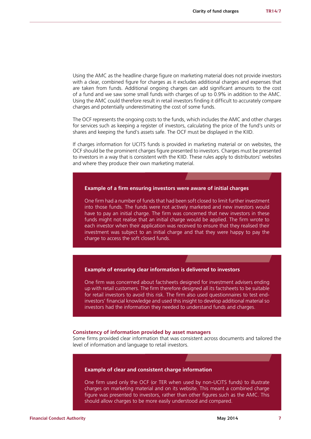Using the AMC as the headline charge figure on marketing material does not provide investors with a clear, combined figure for charges as it excludes additional charges and expenses that are taken from funds. Additional ongoing charges can add significant amounts to the cost of a fund and we saw some small funds with charges of up to 0.9% in addition to the AMC. Using the AMC could therefore result in retail investors finding it difficult to accurately compare charges and potentially underestimating the cost of some funds.

The OCF represents the ongoing costs to the funds, which includes the AMC and other charges for services such as keeping a register of investors, calculating the price of the fund's units or shares and keeping the fund's assets safe. The OCF must be displayed in the KIID.

If charges information for UCITS funds is provided in marketing material or on websites, the OCF should be the prominent charges figure presented to investors. Charges must be presented to investors in a way that is consistent with the KIID. These rules apply to distributors' websites and where they produce their own marketing material.

#### **Example of a firm ensuring investors were aware of initial charges**

One firm had a number of funds that had been soft closed to limit further investment into those funds. The funds were not actively marketed and new investors would have to pay an initial charge. The firm was concerned that new investors in these funds might not realise that an initial charge would be applied. The firm wrote to each investor when their application was received to ensure that they realised their investment was subject to an initial charge and that they were happy to pay the charge to access the soft closed funds.

#### **Example of ensuring clear information is delivered to investors**

One firm was concerned about factsheets designed for investment advisers ending up with retail customers. The firm therefore designed all its factsheets to be suitable for retail investors to avoid this risk. The firm also used questionnaires to test endinvestors' financial knowledge and used this insight to develop additional material so investors had the information they needed to understand funds and charges.

#### **Consistency of information provided by asset managers**

Some firms provided clear information that was consistent across documents and tailored the level of information and language to retail investors.

#### **Example of clear and consistent charge information**

One firm used only the OCF (or TER when used by non-UCITS funds) to illustrate charges on marketing material and on its website. This meant a combined charge figure was presented to investors, rather than other figures such as the AMC. This should allow charges to be more easily understood and compared.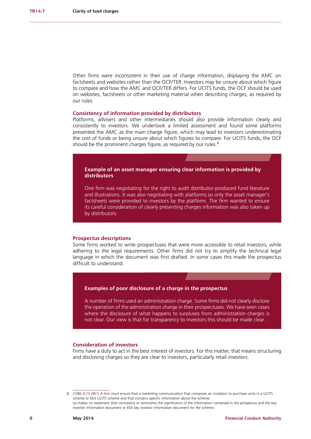Other firms were inconsistent in their use of charge information, displaying the AMC on factsheets and websites rather than the OCF/TER. Investors may be unsure about which figure to compare and how the AMC and OCF/TER differs. For UCITS funds, the OCF should be used on websites, factsheets or other marketing material when describing charges, as required by our rules.

#### **Consistency of information provided by distributors**

Platforms, advisers and other intermediaries should also provide information clearly and consistently to investors. We undertook a limited assessment and found some platforms presented the AMC as the main charge figure, which may lead to investors underestimating the cost of funds or being unsure about which figures to compare. For UCITS funds, the OCF should be the prominent charges figure, as required by our rules.<sup>8</sup>

**Example of an asset manager ensuring clear information is provided by distributors**

One firm was negotiating for the right to audit distributor-produced fund literature and illustrations. It was also negotiating with platforms so only the asset manager's factsheets were provided to investors by the platform. The firm wanted to ensure its careful consideration of clearly presenting charges information was also taken up by distributors.

#### **Prospectus descriptions**

Some firms worked to write prospectuses that were more accessible to retail investors, while adhering to the legal requirements. Other firms did not try to simplify the technical legal language in which the document was first drafted. In some cases this made the prospectus difficult to understand.

#### **Examples of poor disclosure of a charge in the prospectus**

A number of firms used an administration charge. Some firms did not clearly disclose the operation of the administration charge in their prospectuses. We have seen cases where the disclosure of what happens to surpluses from administration charges is not clear. Our view is that for transparency to investors this should be made clear.

#### **Consideration of investors**

Firms have a duty to act in the best interest of investors. For this matter, that means structuring and disclosing charges so they are clear to investors, particularly retail investors.

<sup>8</sup> COBS 4.13.2R(1) A [firm](http://fshandbook.info/FS/glossary-html/handbook/Glossary/F?definition=G430) must ensure that a marketing communication that comprises an invitation to purchase [units](http://fshandbook.info/FS/glossary-html/handbook/Glossary/U?definition=G1230) in a [UCITS](http://fshandbook.info/FS/glossary-html/handbook/Glossary/U?definition=G1204)  [scheme](http://fshandbook.info/FS/glossary-html/handbook/Glossary/U?definition=G1204) or [EEA UCITS scheme](http://fshandbook.info/FS/glossary-html/handbook/Glossary/E?definition=G2868) and that contains specific information about the [scheme:](http://fshandbook.info/FS/glossary-html/handbook/Glossary/S?definition=G1043) (a) makes no statement that contradicts or diminishes the significance of the information contained in the [prospectus](http://fshandbook.info/FS/glossary-html/handbook/Glossary/P?definition=G924) and the [key](http://fshandbook.info/FS/glossary-html/handbook/Glossary/K?definition=G2872)  [investor information document](http://fshandbook.info/FS/glossary-html/handbook/Glossary/K?definition=G2872) or [EEA key investor information document](http://fshandbook.info/FS/glossary-html/handbook/Glossary/E?definition=G2867) for the scheme.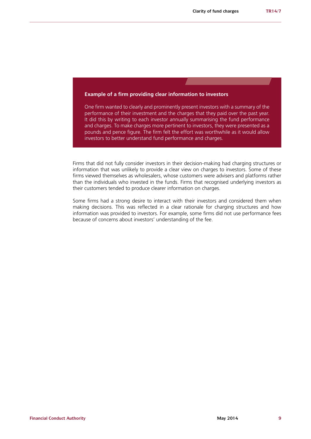#### **Example of a firm providing clear information to investors**

One firm wanted to clearly and prominently present investors with a summary of the performance of their investment and the charges that they paid over the past year. It did this by writing to each investor annually summarising the fund performance and charges. To make charges more pertinent to investors, they were presented as a pounds and pence figure. The firm felt the effort was worthwhile as it would allow investors to better understand fund performance and charges.

Firms that did not fully consider investors in their decision-making had charging structures or information that was unlikely to provide a clear view on charges to investors. Some of these firms viewed themselves as wholesalers, whose customers were advisers and platforms rather than the individuals who invested in the funds. Firms that recognised underlying investors as their customers tended to produce clearer information on charges.

Some firms had a strong desire to interact with their investors and considered them when making decisions. This was reflected in a clear rationale for charging structures and how information was provided to investors. For example, some firms did not use performance fees because of concerns about investors' understanding of the fee.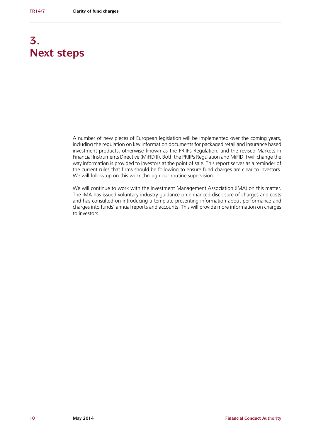# **3. Next steps**

A number of new pieces of European legislation will be implemented over the coming years, including the regulation on key information documents for packaged retail and insurance based investment products, otherwise known as the PRIIPs Regulation, and the revised Markets in Financial Instruments Directive (MiFID II). Both the PRIIPs Regulation and MiFID II will change the way information is provided to investors at the point of sale. This report serves as a reminder of the current rules that firms should be following to ensure fund charges are clear to investors. We will follow up on this work through our routine supervision.

We will continue to work with the Investment Management Association (IMA) on this matter. The IMA has issued voluntary industry guidance on enhanced disclosure of charges and costs and has consulted on introducing a template presenting information about performance and charges into funds' annual reports and accounts. This will provide more information on charges to investors.